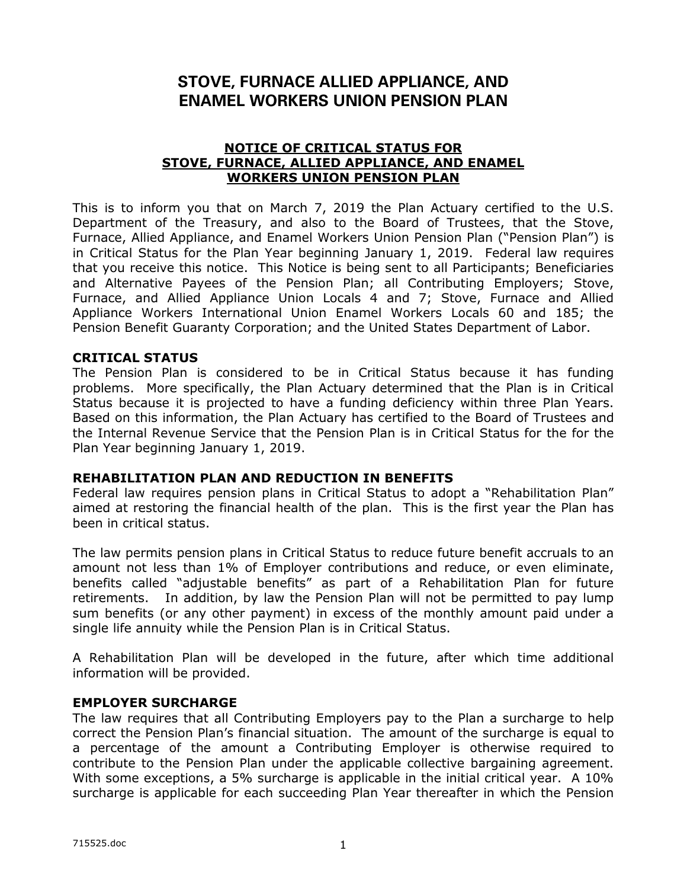# **STOVE, FURNACE ALLIED APPLIANCE, AND ENAMEL WORKERS UNION PENSION PLAN**

### **NOTICE OF CRITICAL STATUS FOR STOVE, FURNACE, ALLIED APPLIANCE, AND ENAMEL WORKERS UNION PENSION PLAN**

This is to inform you that on March 7, 2019 the Plan Actuary certified to the U.S. Department of the Treasury, and also to the Board of Trustees, that the Stove, Furnace, Allied Appliance, and Enamel Workers Union Pension Plan ("Pension Plan") is in Critical Status for the Plan Year beginning January 1, 2019. Federal law requires that you receive this notice. This Notice is being sent to all Participants; Beneficiaries and Alternative Payees of the Pension Plan; all Contributing Employers; Stove, Furnace, and Allied Appliance Union Locals 4 and 7; Stove, Furnace and Allied Appliance Workers International Union Enamel Workers Locals 60 and 185; the Pension Benefit Guaranty Corporation; and the United States Department of Labor.

### **CRITICAL STATUS**

The Pension Plan is considered to be in Critical Status because it has funding problems. More specifically, the Plan Actuary determined that the Plan is in Critical Status because it is projected to have a funding deficiency within three Plan Years. Based on this information, the Plan Actuary has certified to the Board of Trustees and the Internal Revenue Service that the Pension Plan is in Critical Status for the for the Plan Year beginning January 1, 2019.

# **REHABILITATION PLAN AND REDUCTION IN BENEFITS**

Federal law requires pension plans in Critical Status to adopt a "Rehabilitation Plan" aimed at restoring the financial health of the plan. This is the first year the Plan has been in critical status.

The law permits pension plans in Critical Status to reduce future benefit accruals to an amount not less than 1% of Employer contributions and reduce, or even eliminate, benefits called "adjustable benefits" as part of a Rehabilitation Plan for future retirements. In addition, by law the Pension Plan will not be permitted to pay lump sum benefits (or any other payment) in excess of the monthly amount paid under a single life annuity while the Pension Plan is in Critical Status.

A Rehabilitation Plan will be developed in the future, after which time additional information will be provided.

#### **EMPLOYER SURCHARGE**

The law requires that all Contributing Employers pay to the Plan a surcharge to help correct the Pension Plan's financial situation. The amount of the surcharge is equal to a percentage of the amount a Contributing Employer is otherwise required to contribute to the Pension Plan under the applicable collective bargaining agreement. With some exceptions, a 5% surcharge is applicable in the initial critical year. A 10% surcharge is applicable for each succeeding Plan Year thereafter in which the Pension